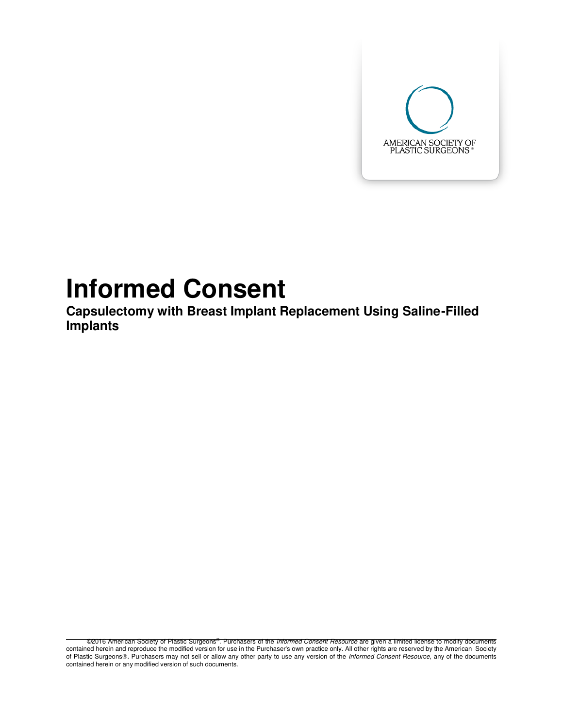

# **Informed Consent**

**Capsulectomy with Breast Implant Replacement Using Saline-Filled Implants** 

©2016 American Society of Plastic Surgeons®. Purchasers of the Informed Consent Resource are given a limited license to modify documents contained herein and reproduce the modified version for use in the Purchaser's own practice only. All other rights are reserved by the American Society of Plastic Surgeons®. Purchasers may not sell or allow any other party to use any version of the Informed Consent Resource, any of the documents contained herein or any modified version of such documents.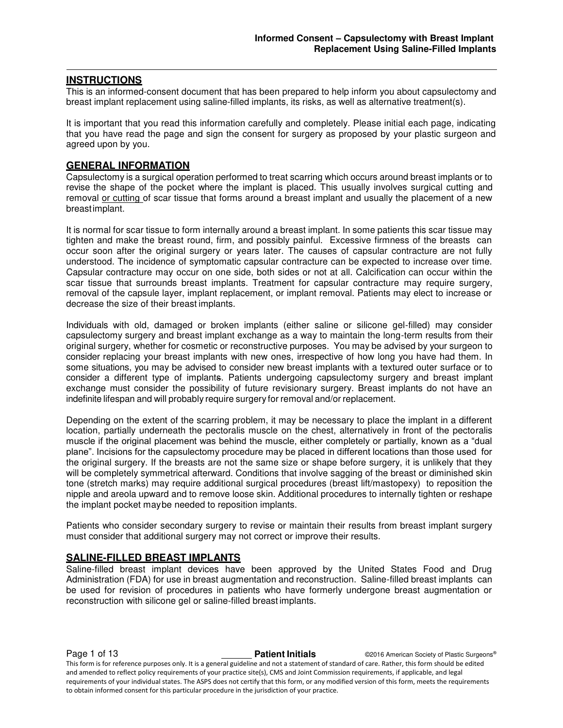#### **INSTRUCTIONS**

This is an informed-consent document that has been prepared to help inform you about capsulectomy and breast implant replacement using saline-filled implants, its risks, as well as alternative treatment(s).

It is important that you read this information carefully and completely. Please initial each page, indicating that you have read the page and sign the consent for surgery as proposed by your plastic surgeon and agreed upon by you.

#### **GENERAL INFORMATION**

Capsulectomy is a surgical operation performed to treat scarring which occurs around breast implants or to revise the shape of the pocket where the implant is placed. This usually involves surgical cutting and removal or cutting of scar tissue that forms around a breast implant and usually the placement of a new breast implant.

It is normal for scar tissue to form internally around a breast implant. In some patients this scar tissue may tighten and make the breast round, firm, and possibly painful. Excessive firmness of the breasts can occur soon after the original surgery or years later. The causes of capsular contracture are not fully understood. The incidence of symptomatic capsular contracture can be expected to increase over time. Capsular contracture may occur on one side, both sides or not at all. Calcification can occur within the scar tissue that surrounds breast implants. Treatment for capsular contracture may require surgery, removal of the capsule layer, implant replacement, or implant removal. Patients may elect to increase or decrease the size of their breast implants.

Individuals with old, damaged or broken implants (either saline or silicone gel-filled) may consider capsulectomy surgery and breast implant exchange as a way to maintain the long-term results from their original surgery, whether for cosmetic or reconstructive purposes. You may be advised by your surgeon to consider replacing your breast implants with new ones, irrespective of how long you have had them. In some situations, you may be advised to consider new breast implants with a textured outer surface or to consider a different type of implants. Patients undergoing capsulectomy surgery and breast implant exchange must consider the possibility of future revisionary surgery. Breast implants do not have an indefinite lifespan and will probably require surgery for removal and/or replacement.

Depending on the extent of the scarring problem, it may be necessary to place the implant in a different location, partially underneath the pectoralis muscle on the chest, alternatively in front of the pectoralis muscle if the original placement was behind the muscle, either completely or partially, known as a "dual plane". Incisions for the capsulectomy procedure may be placed in different locations than those used for the original surgery. If the breasts are not the same size or shape before surgery, it is unlikely that they will be completely symmetrical afterward. Conditions that involve sagging of the breast or diminished skin tone (stretch marks) may require additional surgical procedures (breast lift/mastopexy) to reposition the nipple and areola upward and to remove loose skin. Additional procedures to internally tighten or reshape the implant pocket may be needed to reposition implants.

Patients who consider secondary surgery to revise or maintain their results from breast implant surgery must consider that additional surgery may not correct or improve their results.

#### **SALINE-FILLED BREAST IMPLANTS**

Saline-filled breast implant devices have been approved by the United States Food and Drug Administration (FDA) for use in breast augmentation and reconstruction. Saline-filled breast implants can be used for revision of procedures in patients who have formerly undergone breast augmentation or reconstruction with silicone gel or saline-filled breast implants.

**Page 1 of 13 Patient Initials Patient Initials C2016 American Society of Plastic Surgeons®** This form is for reference purposes only. It is a general guideline and not a statement of standard of care. Rather, this form should be edited and amended to reflect policy requirements of your practice site(s), CMS and Joint Commission requirements, if applicable, and legal requirements of your individual states. The ASPS does not certify that this form, or any modified version of this form, meets the requirements to obtain informed consent for this particular procedure in the jurisdiction of your practice.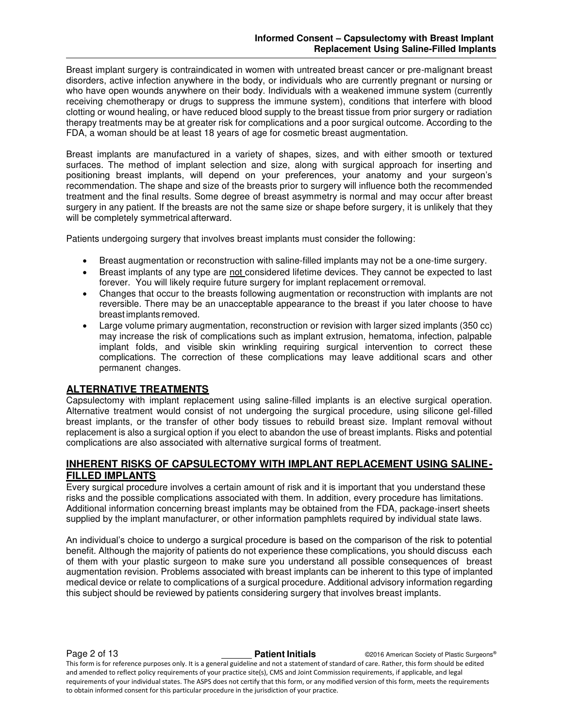Breast implant surgery is contraindicated in women with untreated breast cancer or pre-malignant breast disorders, active infection anywhere in the body, or individuals who are currently pregnant or nursing or who have open wounds anywhere on their body. Individuals with a weakened immune system (currently receiving chemotherapy or drugs to suppress the immune system), conditions that interfere with blood clotting or wound healing, or have reduced blood supply to the breast tissue from prior surgery or radiation therapy treatments may be at greater risk for complications and a poor surgical outcome. According to the FDA, a woman should be at least 18 years of age for cosmetic breast augmentation.

Breast implants are manufactured in a variety of shapes, sizes, and with either smooth or textured surfaces. The method of implant selection and size, along with surgical approach for inserting and positioning breast implants, will depend on your preferences, your anatomy and your surgeon's recommendation. The shape and size of the breasts prior to surgery will influence both the recommended treatment and the final results. Some degree of breast asymmetry is normal and may occur after breast surgery in any patient. If the breasts are not the same size or shape before surgery, it is unlikely that they will be completely symmetrical afterward.

Patients undergoing surgery that involves breast implants must consider the following:

- Breast augmentation or reconstruction with saline-filled implants may not be a one-time surgery.
- Breast implants of any type are not considered lifetime devices. They cannot be expected to last forever. You will likely require future surgery for implant replacement or removal.
- Changes that occur to the breasts following augmentation or reconstruction with implants are not reversible. There may be an unacceptable appearance to the breast if you later choose to have breast implants removed.
- Large volume primary augmentation, reconstruction or revision with larger sized implants (350 cc) may increase the risk of complications such as implant extrusion, hematoma, infection, palpable implant folds, and visible skin wrinkling requiring surgical intervention to correct these complications. The correction of these complications may leave additional scars and other permanent changes.

#### **ALTERNATIVE TREATMENTS**

Capsulectomy with implant replacement using saline-filled implants is an elective surgical operation. Alternative treatment would consist of not undergoing the surgical procedure, using silicone gel-filled breast implants, or the transfer of other body tissues to rebuild breast size. Implant removal without replacement is also a surgical option if you elect to abandon the use of breast implants. Risks and potential complications are also associated with alternative surgical forms of treatment.

#### **INHERENT RISKS OF CAPSULECTOMY WITH IMPLANT REPLACEMENT USING SALINE-FILLED IMPLANTS**

Every surgical procedure involves a certain amount of risk and it is important that you understand these risks and the possible complications associated with them. In addition, every procedure has limitations. Additional information concerning breast implants may be obtained from the FDA, package-insert sheets supplied by the implant manufacturer, or other information pamphlets required by individual state laws.

An individual's choice to undergo a surgical procedure is based on the comparison of the risk to potential benefit. Although the majority of patients do not experience these complications, you should discuss each of them with your plastic surgeon to make sure you understand all possible consequences of breast augmentation revision. Problems associated with breast implants can be inherent to this type of implanted medical device or relate to complications of a surgical procedure. Additional advisory information regarding this subject should be reviewed by patients considering surgery that involves breast implants.

**Page 2 of 13 Patient Initials Patient Initials C2016 American Society of Plastic Surgeons®** 

This form is for reference purposes only. It is a general guideline and not a statement of standard of care. Rather, this form should be edited and amended to reflect policy requirements of your practice site(s), CMS and Joint Commission requirements, if applicable, and legal requirements of your individual states. The ASPS does not certify that this form, or any modified version of this form, meets the requirements to obtain informed consent for this particular procedure in the jurisdiction of your practice.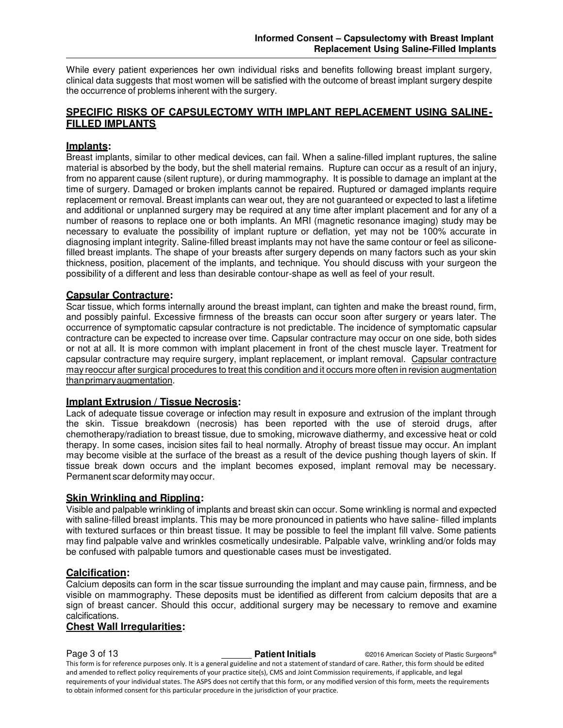While every patient experiences her own individual risks and benefits following breast implant surgery, clinical data suggests that most women will be satisfied with the outcome of breast implant surgery despite the occurrence of problems inherent with the surgery.

## **SPECIFIC RISKS OF CAPSULECTOMY WITH IMPLANT REPLACEMENT USING SALINE-FILLED IMPLANTS**

### **Implants:**

Breast implants, similar to other medical devices, can fail. When a saline-filled implant ruptures, the saline material is absorbed by the body, but the shell material remains. Rupture can occur as a result of an injury, from no apparent cause (silent rupture), or during mammography. It is possible to damage an implant at the time of surgery. Damaged or broken implants cannot be repaired. Ruptured or damaged implants require replacement or removal. Breast implants can wear out, they are not guaranteed or expected to last a lifetime and additional or unplanned surgery may be required at any time after implant placement and for any of a number of reasons to replace one or both implants. An MRI (magnetic resonance imaging) study may be necessary to evaluate the possibility of implant rupture or deflation, yet may not be 100% accurate in diagnosing implant integrity. Saline-filled breast implants may not have the same contour or feel as siliconefilled breast implants. The shape of your breasts after surgery depends on many factors such as your skin thickness, position, placement of the implants, and technique. You should discuss with your surgeon the possibility of a different and less than desirable contour-shape as well as feel of your result.

#### **Capsular Contracture:**

Scar tissue, which forms internally around the breast implant, can tighten and make the breast round, firm, and possibly painful. Excessive firmness of the breasts can occur soon after surgery or years later. The occurrence of symptomatic capsular contracture is not predictable. The incidence of symptomatic capsular contracture can be expected to increase over time. Capsular contracture may occur on one side, both sides or not at all. It is more common with implant placement in front of the chest muscle layer. Treatment for capsular contracture may require surgery, implant replacement, or implant removal. Capsular contracture may reoccur after surgical procedures to treat this condition and it occurs more often in revision augmentation than primary augmentation.

#### **Implant Extrusion / Tissue Necrosis:**

Lack of adequate tissue coverage or infection may result in exposure and extrusion of the implant through the skin. Tissue breakdown (necrosis) has been reported with the use of steroid drugs, after chemotherapy/radiation to breast tissue, due to smoking, microwave diathermy, and excessive heat or cold therapy. In some cases, incision sites fail to heal normally. Atrophy of breast tissue may occur. An implant may become visible at the surface of the breast as a result of the device pushing though layers of skin. If tissue break down occurs and the implant becomes exposed, implant removal may be necessary. Permanent scar deformity may occur.

#### **Skin Wrinkling and Rippling:**

Visible and palpable wrinkling of implants and breast skin can occur. Some wrinkling is normal and expected with saline-filled breast implants. This may be more pronounced in patients who have saline- filled implants with textured surfaces or thin breast tissue. It may be possible to feel the implant fill valve. Some patients may find palpable valve and wrinkles cosmetically undesirable. Palpable valve, wrinkling and/or folds may be confused with palpable tumors and questionable cases must be investigated.

## **Calcification:**

Calcium deposits can form in the scar tissue surrounding the implant and may cause pain, firmness, and be visible on mammography. These deposits must be identified as different from calcium deposits that are a sign of breast cancer. Should this occur, additional surgery may be necessary to remove and examine calcifications.

## **Chest Wall Irregularities:**

**Page 3 of 13 Patient Initials Patient Initials C2016 American Society of Plastic Surgeons®** This form is for reference purposes only. It is a general guideline and not a statement of standard of care. Rather, this form should be edited and amended to reflect policy requirements of your practice site(s), CMS and Joint Commission requirements, if applicable, and legal requirements of your individual states. The ASPS does not certify that this form, or any modified version of this form, meets the requirements to obtain informed consent for this particular procedure in the jurisdiction of your practice.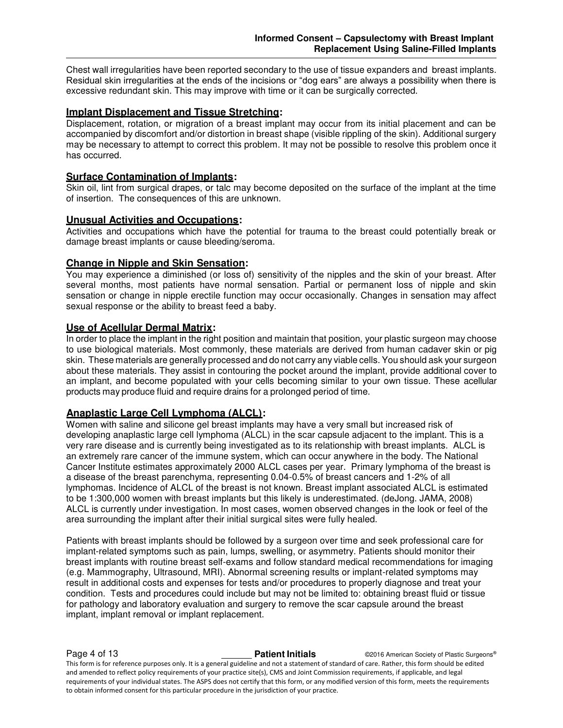Chest wall irregularities have been reported secondary to the use of tissue expanders and breast implants. Residual skin irregularities at the ends of the incisions or "dog ears" are always a possibility when there is excessive redundant skin. This may improve with time or it can be surgically corrected.

#### **Implant Displacement and Tissue Stretching:**

Displacement, rotation, or migration of a breast implant may occur from its initial placement and can be accompanied by discomfort and/or distortion in breast shape (visible rippling of the skin). Additional surgery may be necessary to attempt to correct this problem. It may not be possible to resolve this problem once it has occurred.

#### **Surface Contamination of Implants:**

Skin oil, lint from surgical drapes, or talc may become deposited on the surface of the implant at the time of insertion. The consequences of this are unknown.

#### **Unusual Activities and Occupations:**

Activities and occupations which have the potential for trauma to the breast could potentially break or damage breast implants or cause bleeding/seroma.

#### **Change in Nipple and Skin Sensation:**

You may experience a diminished (or loss of) sensitivity of the nipples and the skin of your breast. After several months, most patients have normal sensation. Partial or permanent loss of nipple and skin sensation or change in nipple erectile function may occur occasionally. Changes in sensation may affect sexual response or the ability to breast feed a baby.

#### **Use of Acellular Dermal Matrix:**

In order to place the implant in the right position and maintain that position, your plastic surgeon may choose to use biological materials. Most commonly, these materials are derived from human cadaver skin or pig skin. These materials are generally processed and do not carry any viable cells. You should ask your surgeon about these materials. They assist in contouring the pocket around the implant, provide additional cover to an implant, and become populated with your cells becoming similar to your own tissue. These acellular products may produce fluid and require drains for a prolonged period of time.

## **Anaplastic Large Cell Lymphoma (ALCL):**

Women with saline and silicone gel breast implants may have a very small but increased risk of developing anaplastic large cell lymphoma (ALCL) in the scar capsule adjacent to the implant. This is a very rare disease and is currently being investigated as to its relationship with breast implants. ALCL is an extremely rare cancer of the immune system, which can occur anywhere in the body. The National Cancer Institute estimates approximately 2000 ALCL cases per year. Primary lymphoma of the breast is a disease of the breast parenchyma, representing 0.04-0.5% of breast cancers and 1-2% of all lymphomas. Incidence of ALCL of the breast is not known. Breast implant associated ALCL is estimated to be 1:300,000 women with breast implants but this likely is underestimated. (deJong. JAMA, 2008) ALCL is currently under investigation. In most cases, women observed changes in the look or feel of the area surrounding the implant after their initial surgical sites were fully healed.

Patients with breast implants should be followed by a surgeon over time and seek professional care for implant-related symptoms such as pain, lumps, swelling, or asymmetry. Patients should monitor their breast implants with routine breast self-exams and follow standard medical recommendations for imaging (e.g. Mammography, Ultrasound, MRI). Abnormal screening results or implant-related symptoms may result in additional costs and expenses for tests and/or procedures to properly diagnose and treat your condition. Tests and procedures could include but may not be limited to: obtaining breast fluid or tissue for pathology and laboratory evaluation and surgery to remove the scar capsule around the breast implant, implant removal or implant replacement.

**Page 4 of 13 Patient Initials Patient Initials C2016 American Society of Plastic Surgeons®** This form is for reference purposes only. It is a general guideline and not a statement of standard of care. Rather, this form should be edited and amended to reflect policy requirements of your practice site(s), CMS and Joint Commission requirements, if applicable, and legal requirements of your individual states. The ASPS does not certify that this form, or any modified version of this form, meets the requirements to obtain informed consent for this particular procedure in the jurisdiction of your practice.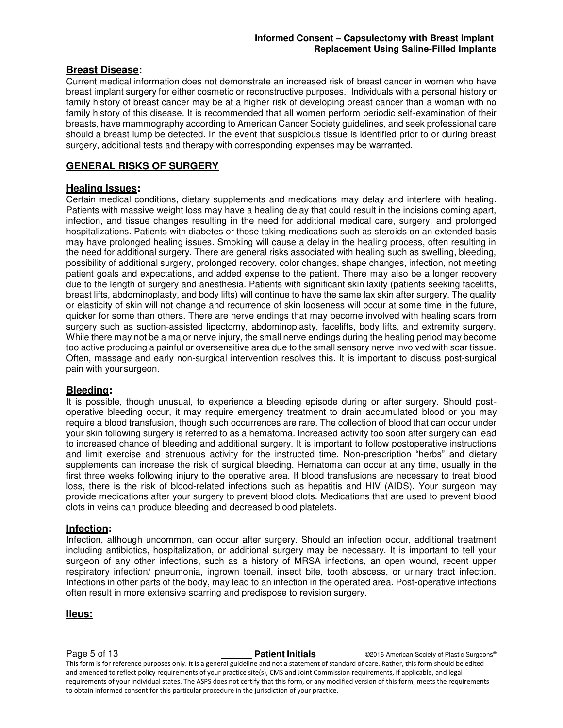#### **Breast Disease:**

Current medical information does not demonstrate an increased risk of breast cancer in women who have breast implant surgery for either cosmetic or reconstructive purposes. Individuals with a personal history or family history of breast cancer may be at a higher risk of developing breast cancer than a woman with no family history of this disease. It is recommended that all women perform periodic self-examination of their breasts, have mammography according to American Cancer Society guidelines, and seek professional care should a breast lump be detected. In the event that suspicious tissue is identified prior to or during breast surgery, additional tests and therapy with corresponding expenses may be warranted.

#### **GENERAL RISKS OF SURGERY**

#### **Healing Issues:**

Certain medical conditions, dietary supplements and medications may delay and interfere with healing. Patients with massive weight loss may have a healing delay that could result in the incisions coming apart, infection, and tissue changes resulting in the need for additional medical care, surgery, and prolonged hospitalizations. Patients with diabetes or those taking medications such as steroids on an extended basis may have prolonged healing issues. Smoking will cause a delay in the healing process, often resulting in the need for additional surgery. There are general risks associated with healing such as swelling, bleeding, possibility of additional surgery, prolonged recovery, color changes, shape changes, infection, not meeting patient goals and expectations, and added expense to the patient. There may also be a longer recovery due to the length of surgery and anesthesia. Patients with significant skin laxity (patients seeking facelifts, breast lifts, abdominoplasty, and body lifts) will continue to have the same lax skin after surgery. The quality or elasticity of skin will not change and recurrence of skin looseness will occur at some time in the future, quicker for some than others. There are nerve endings that may become involved with healing scars from surgery such as suction-assisted lipectomy, abdominoplasty, facelifts, body lifts, and extremity surgery. While there may not be a major nerve injury, the small nerve endings during the healing period may become too active producing a painful or oversensitive area due to the small sensory nerve involved with scar tissue. Often, massage and early non-surgical intervention resolves this. It is important to discuss post-surgical pain with your surgeon.

#### **Bleeding:**

It is possible, though unusual, to experience a bleeding episode during or after surgery. Should postoperative bleeding occur, it may require emergency treatment to drain accumulated blood or you may require a blood transfusion, though such occurrences are rare. The collection of blood that can occur under your skin following surgery is referred to as a hematoma. Increased activity too soon after surgery can lead to increased chance of bleeding and additional surgery. It is important to follow postoperative instructions and limit exercise and strenuous activity for the instructed time. Non-prescription "herbs" and dietary supplements can increase the risk of surgical bleeding. Hematoma can occur at any time, usually in the first three weeks following injury to the operative area. If blood transfusions are necessary to treat blood loss, there is the risk of blood-related infections such as hepatitis and HIV (AIDS). Your surgeon may provide medications after your surgery to prevent blood clots. Medications that are used to prevent blood clots in veins can produce bleeding and decreased blood platelets.

#### **Infection:**

Infection, although uncommon, can occur after surgery. Should an infection occur, additional treatment including antibiotics, hospitalization, or additional surgery may be necessary. It is important to tell your surgeon of any other infections, such as a history of MRSA infections, an open wound, recent upper respiratory infection/ pneumonia, ingrown toenail, insect bite, tooth abscess, or urinary tract infection. Infections in other parts of the body, may lead to an infection in the operated area. Post-operative infections often result in more extensive scarring and predispose to revision surgery.

**IIeus:** 

**Page 5 of 13 Patient Initials Patient Initials C2016 American Society of Plastic Surgeons®** This form is for reference purposes only. It is a general guideline and not a statement of standard of care. Rather, this form should be edited and amended to reflect policy requirements of your practice site(s), CMS and Joint Commission requirements, if applicable, and legal requirements of your individual states. The ASPS does not certify that this form, or any modified version of this form, meets the requirements to obtain informed consent for this particular procedure in the jurisdiction of your practice.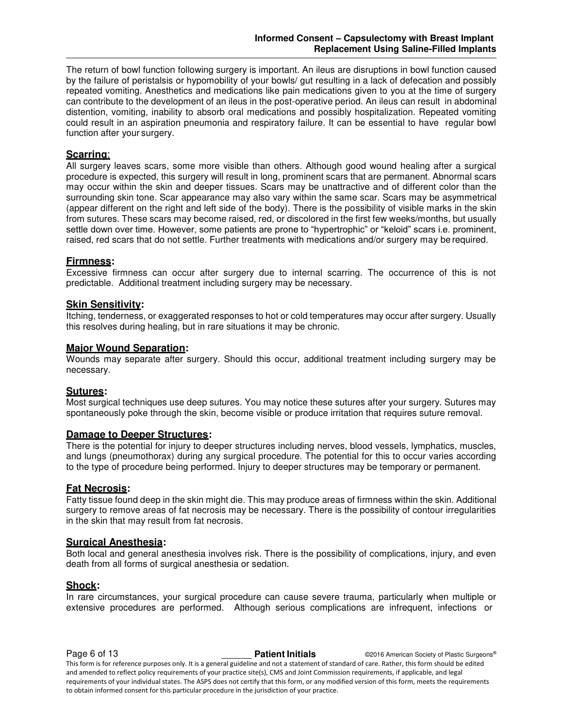The return of bowl function following surgery is important. An ileus are disruptions in bowl function caused by the failure of peristalsis or hypomobility of your bowls/ gut resulting in a lack of defecation and possibly repeated vomiting. Anesthetics and medications like pain medications given to you at the time of surgery can contribute to the development of an ileus in the post-operative period. An ileus can result in abdominal distention, vomiting, inability to absorb oral medications and possibly hospitalization. Repeated vomiting could result in an aspiration pneumonia and respiratory failure. It can be essential to have regular bowl function after your surgery.

#### **Scarring**:

All surgery leaves scars, some more visible than others. Although good wound healing after a surgical procedure is expected, this surgery will result in long, prominent scars that are permanent. Abnormal scars may occur within the skin and deeper tissues. Scars may be unattractive and of different color than the surrounding skin tone. Scar appearance may also vary within the same scar. Scars may be asymmetrical (appear different on the right and left side of the body). There is the possibility of visible marks in the skin from sutures. These scars may become raised, red, or discolored in the first few weeks/months, but usually settle down over time. However, some patients are prone to "hypertrophic" or "keloid" scars i.e. prominent, raised, red scars that do not settle. Further treatments with medications and/or surgery may be required.

#### **Firmness:**

Excessive firmness can occur after surgery due to internal scarring. The occurrence of this is not predictable. Additional treatment including surgery may be necessary.

#### **Skin Sensitivity:**

Itching, tenderness, or exaggerated responses to hot or cold temperatures may occur after surgery. Usually this resolves during healing, but in rare situations it may be chronic.

#### **Major Wound Separation:**

Wounds may separate after surgery. Should this occur, additional treatment including surgery may be necessary.

#### **Sutures:**

Most surgical techniques use deep sutures. You may notice these sutures after your surgery. Sutures may spontaneously poke through the skin, become visible or produce irritation that requires suture removal.

#### **Damage to Deeper Structures:**

There is the potential for injury to deeper structures including nerves, blood vessels, lymphatics, muscles, and lungs (pneumothorax) during any surgical procedure. The potential for this to occur varies according to the type of procedure being performed. Injury to deeper structures may be temporary or permanent.

#### **Fat Necrosis:**

Fatty tissue found deep in the skin might die. This may produce areas of firmness within the skin. Additional surgery to remove areas of fat necrosis may be necessary. There is the possibility of contour irregularities in the skin that may result from fat necrosis.

#### **Surgical Anesthesia:**

Both local and general anesthesia involves risk. There is the possibility of complications, injury, and even death from all forms of surgical anesthesia or sedation.

#### **Shock:**

In rare circumstances, your surgical procedure can cause severe trauma, particularly when multiple or extensive procedures are performed. Although serious complications are infrequent, infections or

**Page 6 of 13 Patient Initials Patient Initials C2016 American Society of Plastic Surgeons®** This form is for reference purposes only. It is a general guideline and not a statement of standard of care. Rather, this form should be edited and amended to reflect policy requirements of your practice site(s), CMS and Joint Commission requirements, if applicable, and legal requirements of your individual states. The ASPS does not certify that this form, or any modified version of this form, meets the requirements to obtain informed consent for this particular procedure in the jurisdiction of your practice.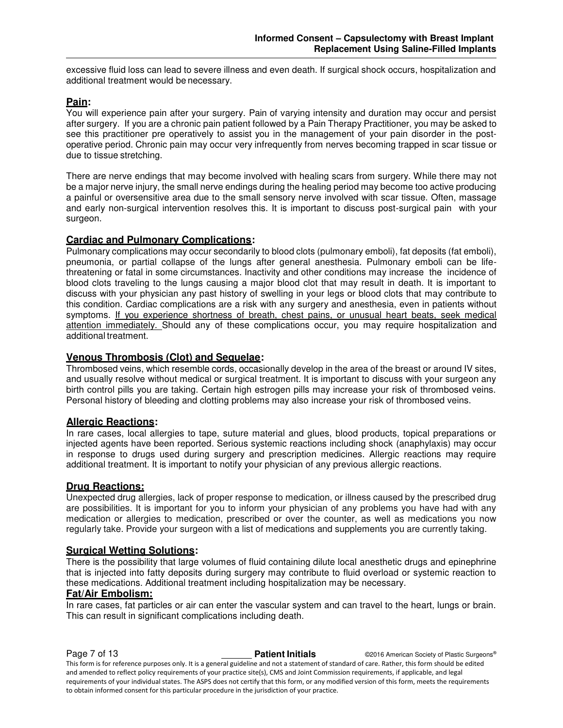excessive fluid loss can lead to severe illness and even death. If surgical shock occurs, hospitalization and additional treatment would be necessary.

#### **Pain:**

You will experience pain after your surgery. Pain of varying intensity and duration may occur and persist after surgery. If you are a chronic pain patient followed by a Pain Therapy Practitioner, you may be asked to see this practitioner pre operatively to assist you in the management of your pain disorder in the postoperative period. Chronic pain may occur very infrequently from nerves becoming trapped in scar tissue or due to tissue stretching.

There are nerve endings that may become involved with healing scars from surgery. While there may not be a major nerve injury, the small nerve endings during the healing period may become too active producing a painful or oversensitive area due to the small sensory nerve involved with scar tissue. Often, massage and early non-surgical intervention resolves this. It is important to discuss post-surgical pain with your surgeon.

#### **Cardiac and Pulmonary Complications:**

Pulmonary complications may occur secondarily to blood clots (pulmonary emboli), fat deposits (fat emboli), pneumonia, or partial collapse of the lungs after general anesthesia. Pulmonary emboli can be lifethreatening or fatal in some circumstances. Inactivity and other conditions may increase the incidence of blood clots traveling to the lungs causing a major blood clot that may result in death. It is important to discuss with your physician any past history of swelling in your legs or blood clots that may contribute to this condition. Cardiac complications are a risk with any surgery and anesthesia, even in patients without symptoms. If you experience shortness of breath, chest pains, or unusual heart beats, seek medical attention immediately. Should any of these complications occur, you may require hospitalization and additional treatment.

#### **Venous Thrombosis (Clot) and Sequelae:**

Thrombosed veins, which resemble cords, occasionally develop in the area of the breast or around IV sites, and usually resolve without medical or surgical treatment. It is important to discuss with your surgeon any birth control pills you are taking. Certain high estrogen pills may increase your risk of thrombosed veins. Personal history of bleeding and clotting problems may also increase your risk of thrombosed veins.

#### **Allergic Reactions:**

In rare cases, local allergies to tape, suture material and glues, blood products, topical preparations or injected agents have been reported. Serious systemic reactions including shock (anaphylaxis) may occur in response to drugs used during surgery and prescription medicines. Allergic reactions may require additional treatment. It is important to notify your physician of any previous allergic reactions.

#### **Drug Reactions:**

Unexpected drug allergies, lack of proper response to medication, or illness caused by the prescribed drug are possibilities. It is important for you to inform your physician of any problems you have had with any medication or allergies to medication, prescribed or over the counter, as well as medications you now regularly take. Provide your surgeon with a list of medications and supplements you are currently taking.

#### **Surgical Wetting Solutions:**

There is the possibility that large volumes of fluid containing dilute local anesthetic drugs and epinephrine that is injected into fatty deposits during surgery may contribute to fluid overload or systemic reaction to these medications. Additional treatment including hospitalization may be necessary.

#### **Fat/Air Embolism:**

In rare cases, fat particles or air can enter the vascular system and can travel to the heart, lungs or brain. This can result in significant complications including death.

**Page 7 of 13 Patient Initials Patient Initials C2016 American Society of Plastic Surgeons®** This form is for reference purposes only. It is a general guideline and not a statement of standard of care. Rather, this form should be edited and amended to reflect policy requirements of your practice site(s), CMS and Joint Commission requirements, if applicable, and legal requirements of your individual states. The ASPS does not certify that this form, or any modified version of this form, meets the requirements to obtain informed consent for this particular procedure in the jurisdiction of your practice.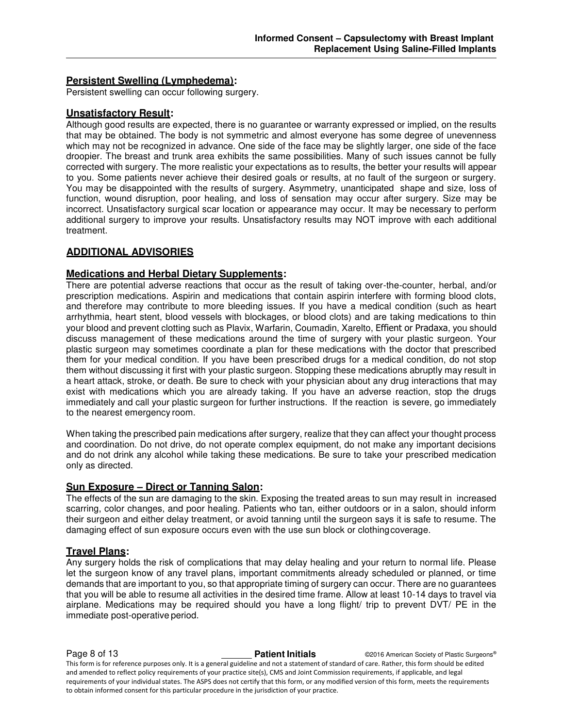#### **Persistent Swelling (Lymphedema):**

Persistent swelling can occur following surgery.

#### **Unsatisfactory Result:**

Although good results are expected, there is no guarantee or warranty expressed or implied, on the results that may be obtained. The body is not symmetric and almost everyone has some degree of unevenness which may not be recognized in advance. One side of the face may be slightly larger, one side of the face droopier. The breast and trunk area exhibits the same possibilities. Many of such issues cannot be fully corrected with surgery. The more realistic your expectations as to results, the better your results will appear to you. Some patients never achieve their desired goals or results, at no fault of the surgeon or surgery. You may be disappointed with the results of surgery. Asymmetry, unanticipated shape and size, loss of function, wound disruption, poor healing, and loss of sensation may occur after surgery. Size may be incorrect. Unsatisfactory surgical scar location or appearance may occur. It may be necessary to perform additional surgery to improve your results. Unsatisfactory results may NOT improve with each additional treatment.

#### **ADDITIONAL ADVISORIES**

#### **Medications and Herbal Dietary Supplements:**

There are potential adverse reactions that occur as the result of taking over-the-counter, herbal, and/or prescription medications. Aspirin and medications that contain aspirin interfere with forming blood clots, and therefore may contribute to more bleeding issues. If you have a medical condition (such as heart arrhythmia, heart stent, blood vessels with blockages, or blood clots) and are taking medications to thin your blood and prevent clotting such as Plavix, Warfarin, Coumadin, Xarelto, Effient or Pradaxa, you should discuss management of these medications around the time of surgery with your plastic surgeon. Your plastic surgeon may sometimes coordinate a plan for these medications with the doctor that prescribed them for your medical condition. If you have been prescribed drugs for a medical condition, do not stop them without discussing it first with your plastic surgeon. Stopping these medications abruptly may result in a heart attack, stroke, or death. Be sure to check with your physician about any drug interactions that may exist with medications which you are already taking. If you have an adverse reaction, stop the drugs immediately and call your plastic surgeon for further instructions. If the reaction is severe, go immediately to the nearest emergency room.

When taking the prescribed pain medications after surgery, realize that they can affect your thought process and coordination. Do not drive, do not operate complex equipment, do not make any important decisions and do not drink any alcohol while taking these medications. Be sure to take your prescribed medication only as directed.

#### **Sun Exposure – Direct or Tanning Salon:**

The effects of the sun are damaging to the skin. Exposing the treated areas to sun may result in increased scarring, color changes, and poor healing. Patients who tan, either outdoors or in a salon, should inform their surgeon and either delay treatment, or avoid tanning until the surgeon says it is safe to resume. The damaging effect of sun exposure occurs even with the use sun block or clothing coverage.

## **Travel Plans:**

Any surgery holds the risk of complications that may delay healing and your return to normal life. Please let the surgeon know of any travel plans, important commitments already scheduled or planned, or time demands that are important to you, so that appropriate timing of surgery can occur. There are no guarantees that you will be able to resume all activities in the desired time frame. Allow at least 10-14 days to travel via airplane. Medications may be required should you have a long flight/ trip to prevent DVT/ PE in the immediate post-operative period.

**Page 8 of 13 Patient Initials Patient Initials C2016 American Society of Plastic Surgeons®** This form is for reference purposes only. It is a general guideline and not a statement of standard of care. Rather, this form should be edited and amended to reflect policy requirements of your practice site(s), CMS and Joint Commission requirements, if applicable, and legal requirements of your individual states. The ASPS does not certify that this form, or any modified version of this form, meets the requirements to obtain informed consent for this particular procedure in the jurisdiction of your practice.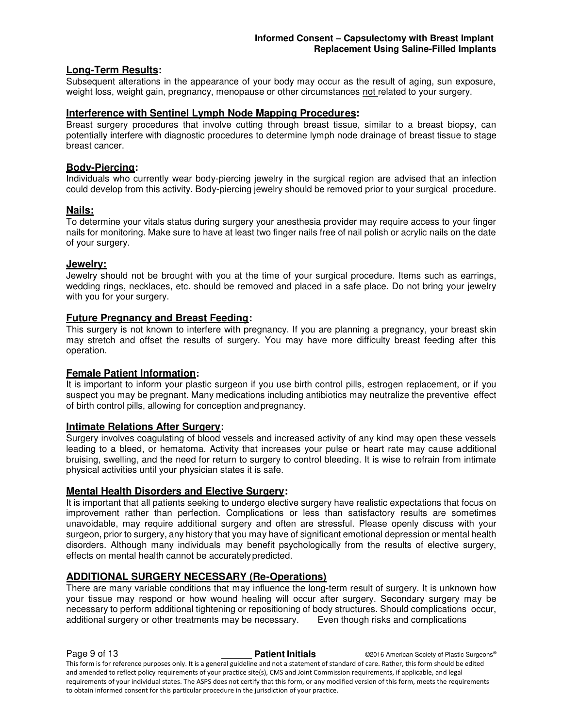#### **Long-Term Results:**

Subsequent alterations in the appearance of your body may occur as the result of aging, sun exposure, weight loss, weight gain, pregnancy, menopause or other circumstances not related to your surgery.

#### **Interference with Sentinel Lymph Node Mapping Procedures:**

Breast surgery procedures that involve cutting through breast tissue, similar to a breast biopsy, can potentially interfere with diagnostic procedures to determine lymph node drainage of breast tissue to stage breast cancer.

#### **Body-Piercing:**

Individuals who currently wear body-piercing jewelry in the surgical region are advised that an infection could develop from this activity. Body-piercing jewelry should be removed prior to your surgical procedure.

#### **Nails:**

To determine your vitals status during surgery your anesthesia provider may require access to your finger nails for monitoring. Make sure to have at least two finger nails free of nail polish or acrylic nails on the date of your surgery.

#### **Jewelry:**

Jewelry should not be brought with you at the time of your surgical procedure. Items such as earrings, wedding rings, necklaces, etc. should be removed and placed in a safe place. Do not bring your jewelry with you for your surgery.

#### **Future Pregnancy and Breast Feeding:**

This surgery is not known to interfere with pregnancy. If you are planning a pregnancy, your breast skin may stretch and offset the results of surgery. You may have more difficulty breast feeding after this operation.

#### **Female Patient Information:**

It is important to inform your plastic surgeon if you use birth control pills, estrogen replacement, or if you suspect you may be pregnant. Many medications including antibiotics may neutralize the preventive effect of birth control pills, allowing for conception and pregnancy.

#### **Intimate Relations After Surgery:**

Surgery involves coagulating of blood vessels and increased activity of any kind may open these vessels leading to a bleed, or hematoma. Activity that increases your pulse or heart rate may cause additional bruising, swelling, and the need for return to surgery to control bleeding. It is wise to refrain from intimate physical activities until your physician states it is safe.

#### **Mental Health Disorders and Elective Surgery:**

It is important that all patients seeking to undergo elective surgery have realistic expectations that focus on improvement rather than perfection. Complications or less than satisfactory results are sometimes unavoidable, may require additional surgery and often are stressful. Please openly discuss with your surgeon, prior to surgery, any history that you may have of significant emotional depression or mental health disorders. Although many individuals may benefit psychologically from the results of elective surgery, effects on mental health cannot be accurately predicted.

## **ADDITIONAL SURGERY NECESSARY (Re-Operations)**

There are many variable conditions that may influence the long-term result of surgery. It is unknown how your tissue may respond or how wound healing will occur after surgery. Secondary surgery may be necessary to perform additional tightening or repositioning of body structures. Should complications occur, additional surgery or other treatments may be necessary. Even though risks and complications

**Page 9 of 13 Patient Initials Patient Initials C2016 American Society of Plastic Surgeons®** This form is for reference purposes only. It is a general guideline and not a statement of standard of care. Rather, this form should be edited and amended to reflect policy requirements of your practice site(s), CMS and Joint Commission requirements, if applicable, and legal requirements of your individual states. The ASPS does not certify that this form, or any modified version of this form, meets the requirements to obtain informed consent for this particular procedure in the jurisdiction of your practice.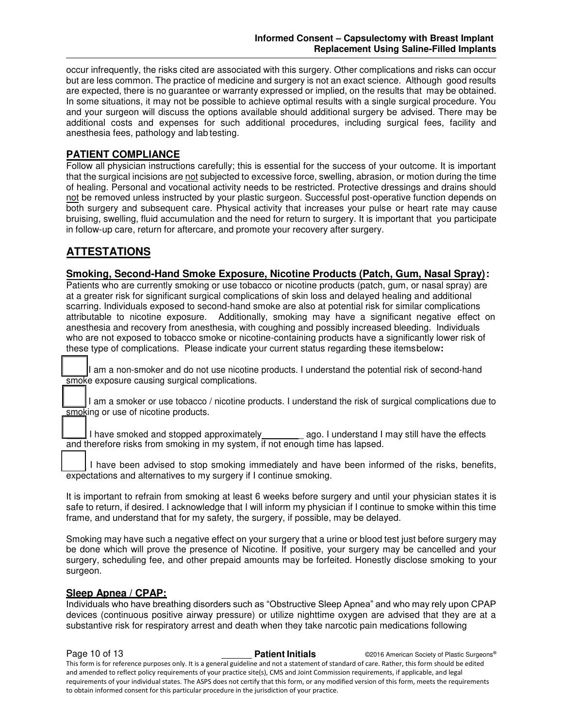occur infrequently, the risks cited are associated with this surgery. Other complications and risks can occur but are less common. The practice of medicine and surgery is not an exact science. Although good results are expected, there is no guarantee or warranty expressed or implied, on the results that may be obtained. In some situations, it may not be possible to achieve optimal results with a single surgical procedure. You and your surgeon will discuss the options available should additional surgery be advised. There may be additional costs and expenses for such additional procedures, including surgical fees, facility and anesthesia fees, pathology and lab testing.

## **PATIENT COMPLIANCE**

Follow all physician instructions carefully; this is essential for the success of your outcome. It is important that the surgical incisions are not subjected to excessive force, swelling, abrasion, or motion during the time of healing. Personal and vocational activity needs to be restricted. Protective dressings and drains should not be removed unless instructed by your plastic surgeon. Successful post-operative function depends on both surgery and subsequent care. Physical activity that increases your pulse or heart rate may cause bruising, swelling, fluid accumulation and the need for return to surgery. It is important that you participate in follow-up care, return for aftercare, and promote your recovery after surgery.

## **ATTESTATIONS**

#### **Smoking, Second-Hand Smoke Exposure, Nicotine Products (Patch, Gum, Nasal Spray):**

Patients who are currently smoking or use tobacco or nicotine products (patch, gum, or nasal spray) are at a greater risk for significant surgical complications of skin loss and delayed healing and additional scarring. Individuals exposed to second-hand smoke are also at potential risk for similar complications attributable to nicotine exposure. Additionally, smoking may have a significant negative effect on anesthesia and recovery from anesthesia, with coughing and possibly increased bleeding. Individuals who are not exposed to tobacco smoke or nicotine-containing products have a significantly lower risk of these type of complications. Please indicate your current status regarding these items below**:** 

I am a non-smoker and do not use nicotine products. I understand the potential risk of second-hand smoke exposure causing surgical complications.

I am a smoker or use tobacco / nicotine products. I understand the risk of surgical complications due to smoking or use of nicotine products.

I have smoked and stopped approximately ago. I understand I may still have the effects and therefore risks from smoking in my system, if not enough time has lapsed.

I have been advised to stop smoking immediately and have been informed of the risks, benefits, expectations and alternatives to my surgery if I continue smoking.

It is important to refrain from smoking at least 6 weeks before surgery and until your physician states it is safe to return, if desired. I acknowledge that I will inform my physician if I continue to smoke within this time frame, and understand that for my safety, the surgery, if possible, may be delayed.

Smoking may have such a negative effect on your surgery that a urine or blood test just before surgery may be done which will prove the presence of Nicotine. If positive, your surgery may be cancelled and your surgery, scheduling fee, and other prepaid amounts may be forfeited. Honestly disclose smoking to your surgeon.

#### **Sleep Apnea / CPAP:**

Individuals who have breathing disorders such as "Obstructive Sleep Apnea" and who may rely upon CPAP devices (continuous positive airway pressure) or utilize nighttime oxygen are advised that they are at a substantive risk for respiratory arrest and death when they take narcotic pain medications following

**Page 10 of 13 Patient Initials Patient Initials C2016 American Society of Plastic Surgeons®** This form is for reference purposes only. It is a general guideline and not a statement of standard of care. Rather, this form should be edited and amended to reflect policy requirements of your practice site(s), CMS and Joint Commission requirements, if applicable, and legal requirements of your individual states. The ASPS does not certify that this form, or any modified version of this form, meets the requirements to obtain informed consent for this particular procedure in the jurisdiction of your practice.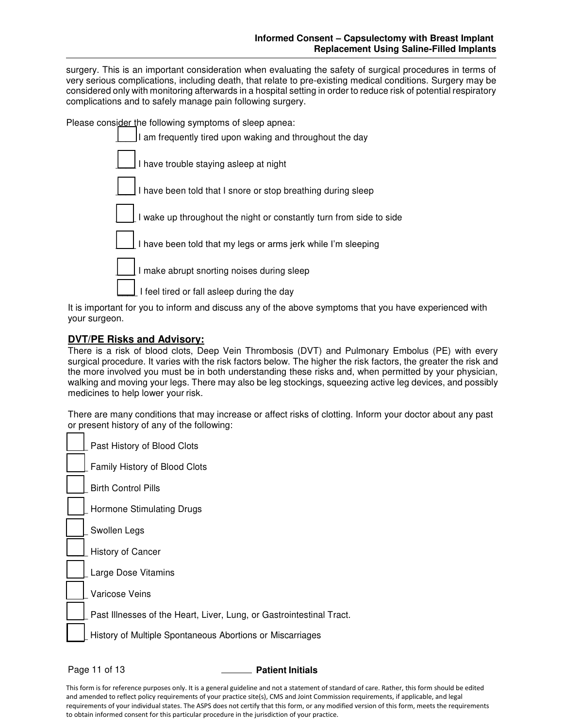surgery. This is an important consideration when evaluating the safety of surgical procedures in terms of very serious complications, including death, that relate to pre-existing medical conditions. Surgery may be considered only with monitoring afterwards in a hospital setting in order to reduce risk of potential respiratory complications and to safely manage pain following surgery.

Please consider the following symptoms of sleep apnea:

| I am frequently tired upon waking and throughout the day            |  |  |  |  |
|---------------------------------------------------------------------|--|--|--|--|
| I have trouble staying asleep at night                              |  |  |  |  |
| I have been told that I snore or stop breathing during sleep        |  |  |  |  |
| I wake up throughout the night or constantly turn from side to side |  |  |  |  |
| I have been told that my legs or arms jerk while I'm sleeping       |  |  |  |  |
| $\rfloor$ I make abrupt snorting noises during sleep                |  |  |  |  |
| I feel tired or fall asleep during the day                          |  |  |  |  |

It is important for you to inform and discuss any of the above symptoms that you have experienced with your surgeon.

#### **DVT/PE Risks and Advisory:**

There is a risk of blood clots, Deep Vein Thrombosis (DVT) and Pulmonary Embolus (PE) with every surgical procedure. It varies with the risk factors below. The higher the risk factors, the greater the risk and the more involved you must be in both understanding these risks and, when permitted by your physician, walking and moving your legs. There may also be leg stockings, squeezing active leg devices, and possibly medicines to help lower your risk.

There are many conditions that may increase or affect risks of clotting. Inform your doctor about any past or present history of any of the following:

| Past History of Blood Clots                                          |
|----------------------------------------------------------------------|
| Family History of Blood Clots                                        |
| <b>Birth Control Pills</b>                                           |
| Hormone Stimulating Drugs                                            |
| Swollen Legs                                                         |
| History of Cancer                                                    |
| Large Dose Vitamins                                                  |
| Varicose Veins                                                       |
| Past Illnesses of the Heart, Liver, Lung, or Gastrointestinal Tract. |
| History of Multiple Spontaneous Abortions or Miscarriages            |
|                                                                      |

#### Page 11 of 13 **Page 11 of 13 Patient Initials**

This form is for reference purposes only. It is a general guideline and not a statement of standard of care. Rather, this form should be edited and amended to reflect policy requirements of your practice site(s), CMS and Joint Commission requirements, if applicable, and legal requirements of your individual states. The ASPS does not certify that this form, or any modified version of this form, meets the requirements to obtain informed consent for this particular procedure in the jurisdiction of your practice.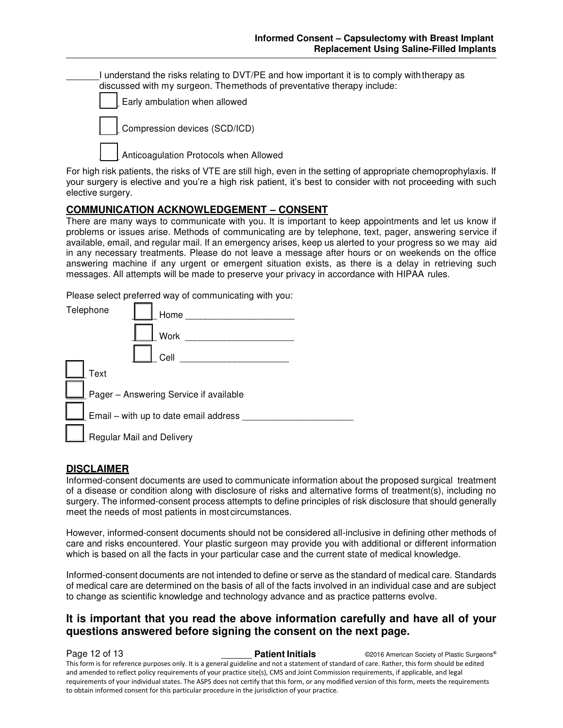I understand the risks relating to DVT/PE and how important it is to comply with therapy as discussed with my surgeon. The methods of preventative therapy include:



For high risk patients, the risks of VTE are still high, even in the setting of appropriate chemoprophylaxis. If your surgery is elective and you're a high risk patient, it's best to consider with not proceeding with such elective surgery.

## **COMMUNICATION ACKNOWLEDGEMENT – CONSENT**

There are many ways to communicate with you. It is important to keep appointments and let us know if problems or issues arise. Methods of communicating are by telephone, text, pager, answering service if available, email, and regular mail. If an emergency arises, keep us alerted to your progress so we may aid in any necessary treatments. Please do not leave a message after hours or on weekends on the office answering machine if any urgent or emergent situation exists, as there is a delay in retrieving such messages. All attempts will be made to preserve your privacy in accordance with HIPAA rules.

Please select preferred way of communicating with you:

| Telephone | Home                                   |  |
|-----------|----------------------------------------|--|
|           | Work                                   |  |
|           | Cell                                   |  |
| Text      |                                        |  |
|           | Pager - Answering Service if available |  |
|           | Email - with up to date email address  |  |
|           | <b>Regular Mail and Delivery</b>       |  |

#### **DISCLAIMER**

Informed-consent documents are used to communicate information about the proposed surgical treatment of a disease or condition along with disclosure of risks and alternative forms of treatment(s), including no surgery. The informed-consent process attempts to define principles of risk disclosure that should generally meet the needs of most patients in most circumstances.

However, informed-consent documents should not be considered all-inclusive in defining other methods of care and risks encountered. Your plastic surgeon may provide you with additional or different information which is based on all the facts in your particular case and the current state of medical knowledge.

Informed-consent documents are not intended to define or serve as the standard of medical care. Standards of medical care are determined on the basis of all of the facts involved in an individual case and are subject to change as scientific knowledge and technology advance and as practice patterns evolve.

## **It is important that you read the above information carefully and have all of your questions answered before signing the consent on the next page.**

**Page 12 of 13 Patient Initials Patient Initials C2016 American Society of Plastic Surgeons®** This form is for reference purposes only. It is a general guideline and not a statement of standard of care. Rather, this form should be edited and amended to reflect policy requirements of your practice site(s), CMS and Joint Commission requirements, if applicable, and legal requirements of your individual states. The ASPS does not certify that this form, or any modified version of this form, meets the requirements to obtain informed consent for this particular procedure in the jurisdiction of your practice.